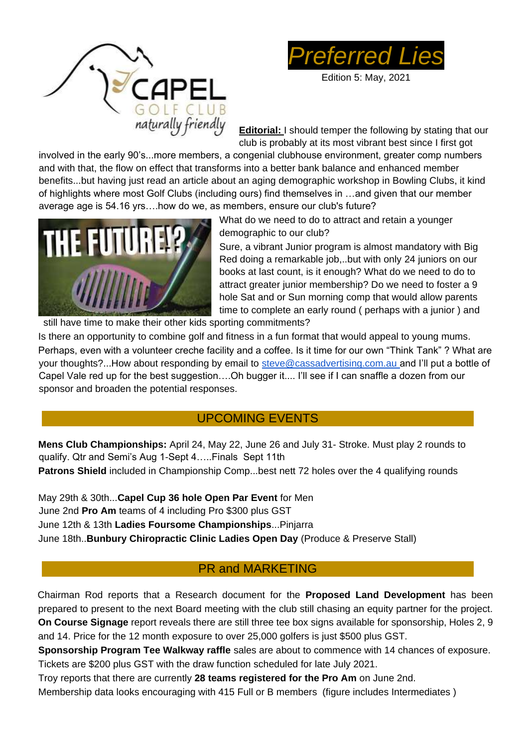



Edition 5: May, 2021

**Editorial:** I should temper the following by stating that our club is probably at its most vibrant best since I first got

involved in the early 90's...more members, a congenial clubhouse environment, greater comp numbers and with that, the flow on effect that transforms into a better bank balance and enhanced member benefits...but having just read an article about an aging demographic workshop in Bowling Clubs, it kind of highlights where most Golf Clubs (including ours) find themselves in …and given that our member average age is 54.16 yrs….how do we, as members, ensure our club's future?



What do we need to do to attract and retain a younger demographic to our club?

Sure, a vibrant Junior program is almost mandatory with Big Red doing a remarkable job,..but with only 24 juniors on our books at last count, is it enough? What do we need to do to attract greater junior membership? Do we need to foster a 9 hole Sat and or Sun morning comp that would allow parents time to complete an early round ( perhaps with a junior ) and

still have time to make their other kids sporting commitments?

Is there an opportunity to combine golf and fitness in a fun format that would appeal to young mums. Perhaps, even with a volunteer creche facility and a coffee. Is it time for our own "Think Tank" ? What are your thoughts?...How about responding by email to steve@cassadvertising.com.au and I'll put a bottle of Capel Vale red up for the best suggestion….Oh bugger it.... I'll see if I can snaffle a dozen from our sponsor and broaden the potential responses.

## UPCOMING EVENTS

**Mens Club Championships:** April 24, May 22, June 26 and July 31- Stroke. Must play 2 rounds to qualify. Qtr and Semi's Aug 1-Sept 4…..Finals Sept 11th **Patrons Shield** included in Championship Comp...best nett 72 holes over the 4 qualifying rounds

May 29th & 30th...**Capel Cup 36 hole Open Par Event** for Men June 2nd **Pro Am** teams of 4 including Pro \$300 plus GST June 12th & 13th **Ladies Foursome Championships**...Pinjarra June 18th..**Bunbury Chiropractic Clinic Ladies Open Day** (Produce & Preserve Stall)

## PR and MARKETING

Chairman Rod reports that a Research document for the **Proposed Land Development** has been prepared to present to the next Board meeting with the club still chasing an equity partner for the project. **On Course Signage** report reveals there are still three tee box signs available for sponsorship, Holes 2, 9 and 14. Price for the 12 month exposure to over 25,000 golfers is just \$500 plus GST.

**Sponsorship Program Tee Walkway raffle** sales are about to commence with 14 chances of exposure. Tickets are \$200 plus GST with the draw function scheduled for late July 2021.

Troy reports that there are currently **28 teams registered for the Pro Am** on June 2nd.

Membership data looks encouraging with 415 Full or B members (figure includes Intermediates )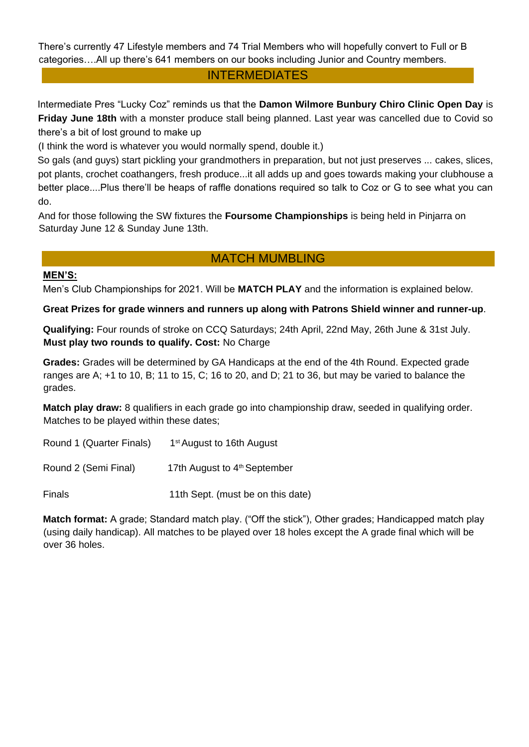There's currently 47 Lifestyle members and 74 Trial Members who will hopefully convert to Full or B categories….All up there's 641 members on our books including Junior and Country members.

#### INTERMEDIATES

Intermediate Pres "Lucky Coz" reminds us that the **Damon Wilmore Bunbury Chiro Clinic Open Day** is **Friday June 18th** with a monster produce stall being planned. Last year was cancelled due to Covid so there's a bit of lost ground to make up

(I think the word is whatever you would normally spend, double it.)

So gals (and guys) start pickling your grandmothers in preparation, but not just preserves ... cakes, slices, pot plants, crochet coathangers, fresh produce...it all adds up and goes towards making your clubhouse a better place....Plus there'll be heaps of raffle donations required so talk to Coz or G to see what you can do.

And for those following the SW fixtures the **Foursome Championships** is being held in Pinjarra on Saturday June 12 & Sunday June 13th.

## MATCH MUMBLING

#### **MEN'S:**

Men's Club Championships for 2021. Will be **MATCH PLAY** and the information is explained below.

**Great Prizes for grade winners and runners up along with Patrons Shield winner and runner-up**.

**Qualifying:** Four rounds of stroke on CCQ Saturdays; 24th April, 22nd May, 26th June & 31st July. **Must play two rounds to qualify. Cost:** No Charge

**Grades:** Grades will be determined by GA Handicaps at the end of the 4th Round. Expected grade ranges are A; +1 to 10, B; 11 to 15, C; 16 to 20, and D; 21 to 36, but may be varied to balance the grades.

**Match play draw:** 8 qualifiers in each grade go into championship draw, seeded in qualifying order. Matches to be played within these dates;

Round 1 (Quarter Finals) 1<sup>st</sup> August to 16th August

Round 2 (Semi Final) 17th August to 4<sup>th</sup> September

Finals 11th Sept. (must be on this date)

**Match format:** A grade; Standard match play. ("Off the stick"), Other grades; Handicapped match play (using daily handicap). All matches to be played over 18 holes except the A grade final which will be over 36 holes.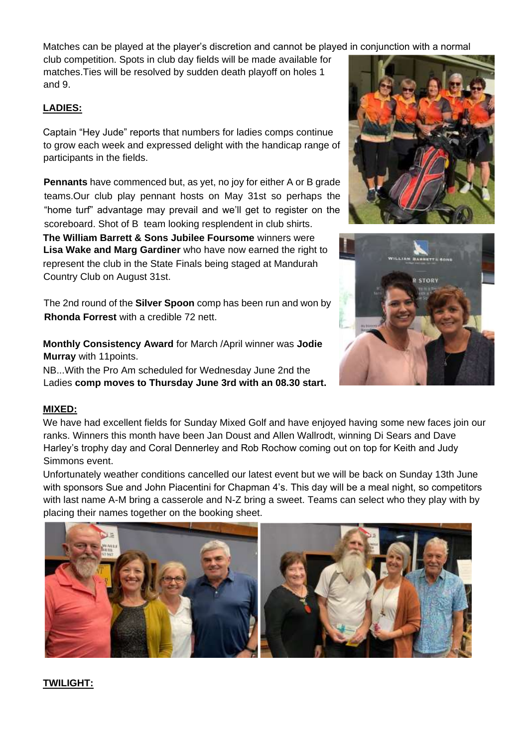Matches can be played at the player's discretion and cannot be played in conjunction with a normal

club competition. Spots in club day fields will be made available for matches.Ties will be resolved by sudden death playoff on holes 1 and 9.

#### **LADIES:**

Captain "Hey Jude" reports that numbers for ladies comps continue to grow each week and expressed delight with the handicap range of participants in the fields.

**Pennants** have commenced but, as yet, no joy for either A or B grade teams.Our club play pennant hosts on May 31st so perhaps the "home turf" advantage may prevail and we'll get to register on the scoreboard. Shot of B team looking resplendent in club shirts.

**The William Barrett & Sons Jubilee Foursome** winners were **Lisa Wake and Marg Gardiner** who have now earned the right to represent the club in the State Finals being staged at Mandurah Country Club on August 31st.

The 2nd round of the **Silver Spoon** comp has been run and won by **Rhonda Forrest** with a credible 72 nett.

**Monthly Consistency Award** for March /April winner was **Jodie Murray** with 11points.

NB...With the Pro Am scheduled for Wednesday June 2nd the Ladies **comp moves to Thursday June 3rd with an 08.30 start.**

#### **MIXED:**

We have had excellent fields for Sunday Mixed Golf and have enjoyed having some new faces join our ranks. Winners this month have been Jan Doust and Allen Wallrodt, winning Di Sears and Dave Harley's trophy day and Coral Dennerley and Rob Rochow coming out on top for Keith and Judy Simmons event.

Unfortunately weather conditions cancelled our latest event but we will be back on Sunday 13th June with sponsors Sue and John Piacentini for Chapman 4's. This day will be a meal night, so competitors with last name A-M bring a casserole and N-Z bring a sweet. Teams can select who they play with by placing their names together on the booking sheet.



## **TWILIGHT:**



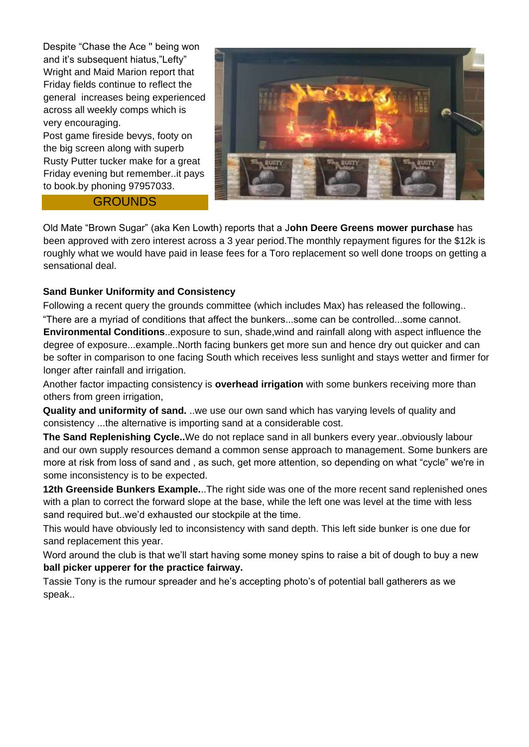Despite "Chase the Ace '' being won and it's subsequent hiatus,"Lefty" Wright and Maid Marion report that Friday fields continue to reflect the general increases being experienced across all weekly comps which is very encouraging.

Post game fireside bevys, footy on the big screen along with superb Rusty Putter tucker make for a great Friday evening but remember..it pays to book.by phoning 97957033.

#### **GROUNDS**



Old Mate "Brown Sugar" (aka Ken Lowth) reports that a J**ohn Deere Greens mower purchase** has been approved with zero interest across a 3 year period.The monthly repayment figures for the \$12k is roughly what we would have paid in lease fees for a Toro replacement so well done troops on getting a sensational deal.

#### **Sand Bunker Uniformity and Consistency**

Following a recent query the grounds committee (which includes Max) has released the following.. "There are a myriad of conditions that affect the bunkers...some can be controlled...some cannot.

**Environmental Conditions**..exposure to sun, shade,wind and rainfall along with aspect influence the degree of exposure...example..North facing bunkers get more sun and hence dry out quicker and can be softer in comparison to one facing South which receives less sunlight and stays wetter and firmer for longer after rainfall and irrigation.

Another factor impacting consistency is **overhead irrigation** with some bunkers receiving more than others from green irrigation,

**Quality and uniformity of sand.** ..we use our own sand which has varying levels of quality and consistency ...the alternative is importing sand at a considerable cost.

**The Sand Replenishing Cycle..**We do not replace sand in all bunkers every year..obviously labour and our own supply resources demand a common sense approach to management. Some bunkers are more at risk from loss of sand and , as such, get more attention, so depending on what "cycle" we're in some inconsistency is to be expected.

**12th Greenside Bunkers Example.**..The right side was one of the more recent sand replenished ones with a plan to correct the forward slope at the base, while the left one was level at the time with less sand required but..we'd exhausted our stockpile at the time.

This would have obviously led to inconsistency with sand depth. This left side bunker is one due for sand replacement this year.

Word around the club is that we'll start having some money spins to raise a bit of dough to buy a new **ball picker upperer for the practice fairway.**

Tassie Tony is the rumour spreader and he's accepting photo's of potential ball gatherers as we speak..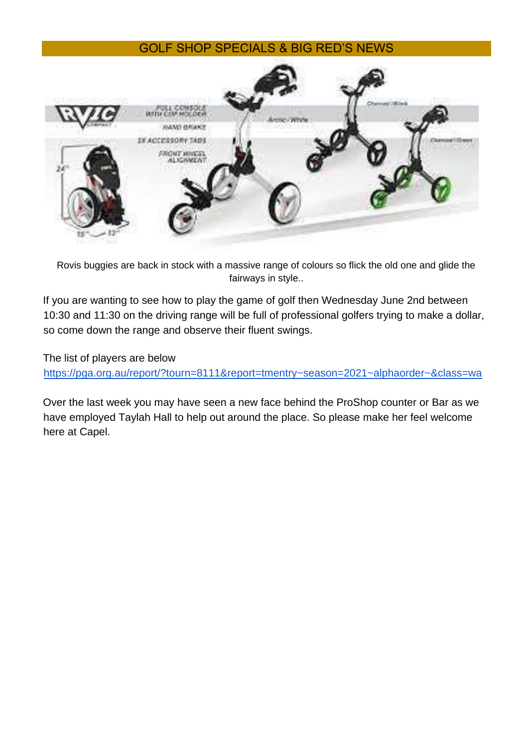## GOLF SHOP SPECIALS & BIG RED'S NEWS



Rovis buggies are back in stock with a massive range of colours so flick the old one and glide the fairways in style..

If you are wanting to see how to play the game of golf then Wednesday June 2nd between 10:30 and 11:30 on the driving range will be full of professional golfers trying to make a dollar, so come down the range and observe their fluent swings.

The list of players are below

<https://pga.org.au/report/?tourn=8111&report=tmentry~season=2021~alphaorder~&class=wa>

Over the last week you may have seen a new face behind the ProShop counter or Bar as we have employed Taylah Hall to help out around the place. So please make her feel welcome here at Capel.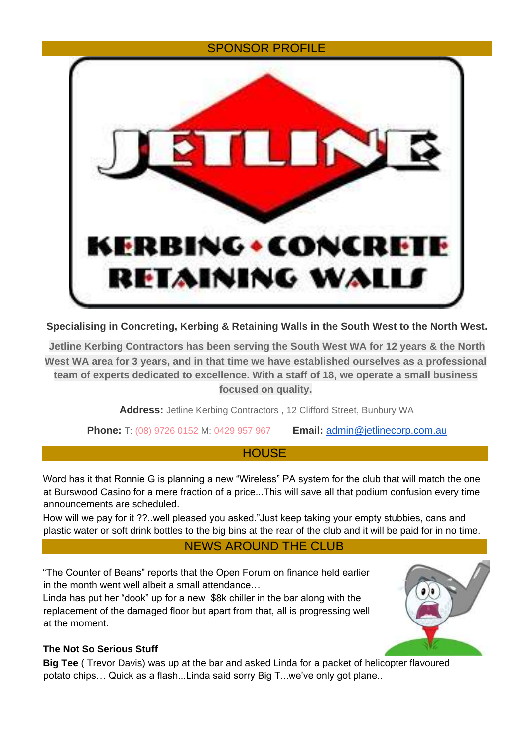# SPONSOR PROFILE BING • CONC RETAINING WA

**Specialising in Concreting, Kerbing & Retaining Walls in the South West to the North West.**

**Jetline Kerbing Contractors has been serving the South West WA for 12 years & the North West WA area for 3 years, and in that time we have established ourselves as a professional team of experts dedicated to excellence. With a staff of 18, we operate a small business focused on quality.**

**Address:** Jetline Kerbing Contractors , 12 Clifford Street, Bunbury WA

**Phone:** T: (08) 9726 0152 M: 0429 957 967 **Email:** admin@jetlinecorp.com.au

## **HOUSE**

Word has it that Ronnie G is planning a new "Wireless" PA system for the club that will match the one at Burswood Casino for a mere fraction of a price...This will save all that podium confusion every time announcements are scheduled.

How will we pay for it ??..well pleased you asked."Just keep taking your empty stubbies, cans and plastic water or soft drink bottles to the big bins at the rear of the club and it will be paid for in no time.

# NEWS AROUND THE CLUB

"The Counter of Beans" reports that the Open Forum on finance held earlier in the month went well albeit a small attendance…

Linda has put her "dook" up for a new \$8k chiller in the bar along with the replacement of the damaged floor but apart from that, all is progressing well at the moment.



## **The Not So Serious Stuff**

**Big Tee** ( Trevor Davis) was up at the bar and asked Linda for a packet of helicopter flavoured potato chips… Quick as a flash...Linda said sorry Big T...we've only got plane..